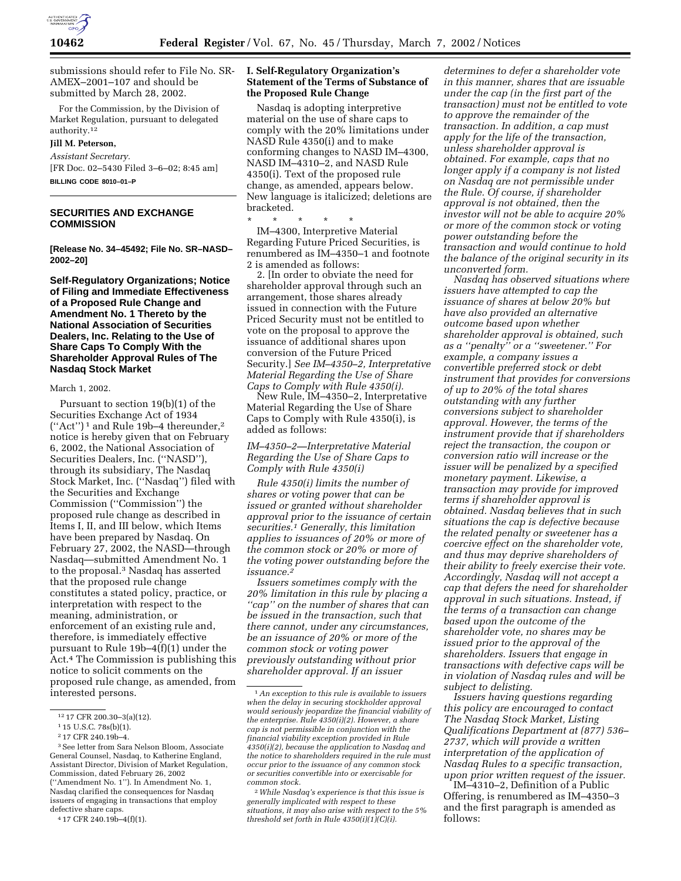

submissions should refer to File No. SR-AMEX–2001–107 and should be submitted by March 28, 2002.

For the Commission, by the Division of Market Regulation, pursuant to delegated authority.12

#### **Jill M. Peterson,**

*Assistant Secretary.* [FR Doc. 02–5430 Filed 3–6–02; 8:45 am] **BILLING CODE 8010–01–P**

**SECURITIES AND EXCHANGE COMMISSION**

**[Release No. 34–45492; File No. SR–NASD– 2002–20]**

**Self-Regulatory Organizations; Notice of Filing and Immediate Effectiveness of a Proposed Rule Change and Amendment No. 1 Thereto by the National Association of Securities Dealers, Inc. Relating to the Use of Share Caps To Comply With the Shareholder Approval Rules of The Nasdaq Stock Market**

#### March 1, 2002.

Pursuant to section 19(b)(1) of the Securities Exchange Act of 1934 (''Act'') 1 and Rule 19b–4 thereunder,2 notice is hereby given that on February 6, 2002, the National Association of Securities Dealers, Inc. (''NASD''), through its subsidiary, The Nasdaq Stock Market, Inc. (''Nasdaq'') filed with the Securities and Exchange Commission (''Commission'') the proposed rule change as described in Items I, II, and III below, which Items have been prepared by Nasdaq. On February 27, 2002, the NASD—through Nasdaq—submitted Amendment No. 1 to the proposal.3 Nasdaq has asserted that the proposed rule change constitutes a stated policy, practice, or interpretation with respect to the meaning, administration, or enforcement of an existing rule and, therefore, is immediately effective pursuant to Rule 19b–4(f)(1) under the Act.4 The Commission is publishing this notice to solicit comments on the proposed rule change, as amended, from interested persons.

4 17 CFR 240.19b–4(f)(1).

### **I. Self-Regulatory Organization's Statement of the Terms of Substance of the Proposed Rule Change**

Nasdaq is adopting interpretive material on the use of share caps to comply with the 20% limitations under NASD Rule 4350(i) and to make conforming changes to NASD IM–4300, NASD IM–4310–2, and NASD Rule 4350(i). Text of the proposed rule change, as amended, appears below. New language is italicized; deletions are bracketed.

\* \* \* \* \* IM–4300, Interpretive Material Regarding Future Priced Securities, is renumbered as IM–4350–1 and footnote 2 is amended as follows:

2. [In order to obviate the need for shareholder approval through such an arrangement, those shares already issued in connection with the Future Priced Security must not be entitled to vote on the proposal to approve the issuance of additional shares upon conversion of the Future Priced Security.] *See IM–4350–2, Interpretative Material Regarding the Use of Share Caps to Comply with Rule 4350(i).*

New Rule, IM–4350–2, Interpretative Material Regarding the Use of Share Caps to Comply with Rule 4350(i), is added as follows:

*IM–4350–2—Interpretative Material Regarding the Use of Share Caps to Comply with Rule 4350(i)*

*Rule 4350(i) limits the number of shares or voting power that can be issued or granted without shareholder approval prior to the issuance of certain securities.1 Generally, this limitation applies to issuances of 20% or more of the common stock or 20% or more of the voting power outstanding before the issuance.2*

*Issuers sometimes comply with the 20% limitation in this rule by placing a ''cap'' on the number of shares that can be issued in the transaction, such that there cannot, under any circumstances, be an issuance of 20% or more of the common stock or voting power previously outstanding without prior shareholder approval. If an issuer*

*determines to defer a shareholder vote in this manner, shares that are issuable under the cap (in the first part of the transaction) must not be entitled to vote to approve the remainder of the transaction. In addition, a cap must apply for the life of the transaction, unless shareholder approval is obtained. For example, caps that no longer apply if a company is not listed on Nasdaq are not permissible under the Rule. Of course, if shareholder approval is not obtained, then the investor will not be able to acquire 20% or more of the common stock or voting power outstanding before the transaction and would continue to hold the balance of the original security in its unconverted form.*

*Nasdaq has observed situations where issuers have attempted to cap the issuance of shares at below 20% but have also provided an alternative outcome based upon whether shareholder approval is obtained, such as a ''penalty'' or a ''sweetener.'' For example, a company issues a convertible preferred stock or debt instrument that provides for conversions of up to 20% of the total shares outstanding with any further conversions subject to shareholder approval. However, the terms of the instrument provide that if shareholders reject the transaction, the coupon or conversion ratio will increase or the issuer will be penalized by a specified monetary payment. Likewise, a transaction may provide for improved terms if shareholder approval is obtained. Nasdaq believes that in such situations the cap is defective because the related penalty or sweetener has a coercive effect on the shareholder vote, and thus may deprive shareholders of their ability to freely exercise their vote. Accordingly, Nasdaq will not accept a cap that defers the need for shareholder approval in such situations. Instead, if the terms of a transaction can change based upon the outcome of the shareholder vote, no shares may be issued prior to the approval of the shareholders. Issuers that engage in transactions with defective caps will be in violation of Nasdaq rules and will be subject to delisting.*

*Issuers having questions regarding this policy are encouraged to contact The Nasdaq Stock Market, Listing Qualifications Department at (877) 536– 2737, which will provide a written interpretation of the application of Nasdaq Rules to a specific transaction, upon prior written request of the issuer.*

IM–4310–2, Definition of a Public Offering, is renumbered as IM–4350–3 and the first paragraph is amended as follows:

<sup>12</sup> 17 CFR 200.30–3(a)(12).

<sup>1</sup> 15 U.S.C. 78s(b)(1).

<sup>2</sup> 17 CFR 240.19b–4.

<sup>3</sup>See letter from Sara Nelson Bloom, Associate General Counsel, Nasdaq, to Katherine England, Assistant Director, Division of Market Regulation, Commission, dated February 26, 2002 (''Amendment No. 1''). In Amendment No. 1, Nasdaq clarified the consequences for Nasdaq issuers of engaging in transactions that employ defective share caps.

<sup>1</sup>*An exception to this rule is available to issuers when the delay in securing stockholder approval would seriously jeopardize the financial viability of the enterprise. Rule 4350(i)(2). However, a share cap is not permissible in conjunction with the financial viability exception provided in Rule 4350(i)(2), because the application to Nasdaq and the notice to shareholders required in the rule must occur prior to the issuance of any common stock or securities convertible into or exercisable for common stock.*

<sup>2</sup>*While Nasdaq's experience is that this issue is generally implicated with respect to these situations, it may also arise with respect to the 5% threshold set forth in Rule 4350(i)(1)(C)(i).*